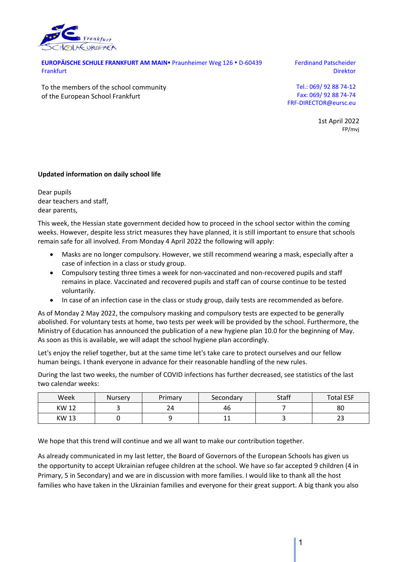

EUROPÄISCHE SCHULE FRANKFURT AM MAIN<sup>·</sup> Praunheimer Weg 126 · D-60439 **Frankfurt** 

Ferdinand Patscheider Direktor

To the members of the school community of the European School Frankfurt

Tel.: 069/ 92 88 74‐12 Fax: 069/ 92 88 74‐74 FRF‐DIRECTOR@eursc.eu

> 1st April 2022 FP/mvj

## **Updated information on daily school life**

Dear pupils dear teachers and staff, dear parents,

This week, the Hessian state government decided how to proceed in the school sector within the coming weeks. However, despite less strict measures they have planned, it is still important to ensure that schools remain safe for all involved. From Monday 4 April 2022 the following will apply:

- Masks are no longer compulsory. However, we still recommend wearing a mask, especially after a case of infection in a class or study group.
- Compulsory testing three times a week for non-vaccinated and non-recovered pupils and staff remains in place. Vaccinated and recovered pupils and staff can of course continue to be tested voluntarily.
- In case of an infection case in the class or study group, daily tests are recommended as before.

As of Monday 2 May 2022, the compulsory masking and compulsory tests are expected to be generally abolished. For voluntary tests at home, two tests per week will be provided by the school. Furthermore, the Ministry of Education has announced the publication of a new hygiene plan 10.0 for the beginning of May. As soon as this is available, we will adapt the school hygiene plan accordingly.

Let's enjoy the relief together, but at the same time let's take care to protect ourselves and our fellow human beings. I thank everyone in advance for their reasonable handling of the new rules.

During the last two weeks, the number of COVID infections has further decreased, see statistics of the last two calendar weeks:

| Week        | <b>Nursery</b> | Primary | Secondary | <b>Staff</b> | <b>Total ESF</b> |
|-------------|----------------|---------|-----------|--------------|------------------|
| <b>KW12</b> |                | 24      | 46        |              | 80               |
| <b>KW13</b> |                |         | -<br>. .  |              | $\sim$<br>ں ے    |

We hope that this trend will continue and we all want to make our contribution together.

As already communicated in my last letter, the Board of Governors of the European Schools has given us the opportunity to accept Ukrainian refugee children at the school. We have so far accepted 9 children (4 in Primary, 5 in Secondary) and we are in discussion with more families. I would like to thank all the host families who have taken in the Ukrainian families and everyone for their great support. A big thank you also